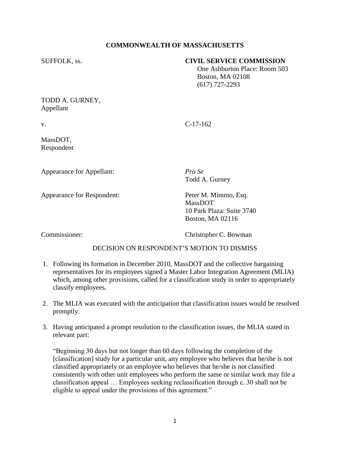## **COMMONWEALTH OF MASSACHUSETTS**

## SUFFOLK, ss. **CIVIL SERVICE COMMISSION**

 One Ashburton Place: Room 503 Boston, MA 02108 (617) 727-2293

TODD A. GURNEY, Appellant

v. C-17-162

MassDOT, Respondent

Appearance for Appellant: *Pro Se*

Todd A. Gurney

Appearance for Respondent: Peter M. Mimmo, Esq.

MassDOT 10 Park Plaza: Suite 3740 Boston, MA 02116

Commissioner: Christopher C. Bowman

## DECISION ON RESPONDENT'S MOTION TO DISMISS

- 1. Following its formation in December 2010, MassDOT and the collective bargaining representatives for its employees signed a Master Labor Integration Agreement (MLIA) which, among other provisions, called for a classification study in order to appropriately classify employees.
- 2. The MLIA was executed with the anticipation that classification issues would be resolved promptly.
- 3. Having anticipated a prompt resolution to the classification issues, the MLIA stated in relevant part:

"Beginning 30 days but not longer than 60 days following the completion of the [classification] study for a particular unit, any employee who believes that he/she is not classified appropriately or an employee who believes that he/she is not classified consistently with other unit employees who perform the same or similar work may file a classification appeal … Employees seeking reclassification through c. 30 shall not be eligible to appeal under the provisions of this agreement."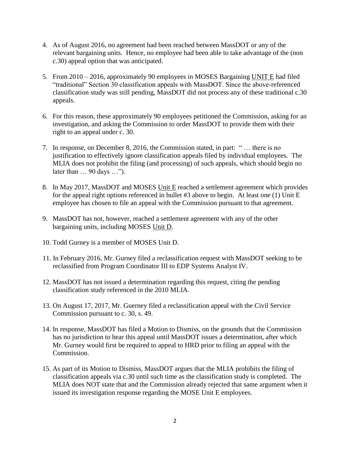- 4. As of August 2016, no agreement had been reached between MassDOT or any of the relevant bargaining units. Hence, no employee had been able to take advantage of the (non c.30) appeal option that was anticipated.
- 5. From 2010 2016, approximately 90 employees in MOSES Bargaining UNIT E had filed "traditional" Section 30 classification appeals with MassDOT. Since the above-referenced classification study was still pending, MassDOT did not process any of these traditional c.30 appeals.
- 6. For this reason, these approximately 90 employees petitioned the Commission, asking for an investigation, and asking the Commission to order MassDOT to provide them with their right to an appeal under c. 30.
- 7. In response, on December 8, 2016, the Commission stated, in part: " … there is no justification to effectively ignore classification appeals filed by individual employees. The MLIA does not prohibit the filing (and processing) of such appeals, which should begin no later than … 90 days …").
- 8. In May 2017, MassDOT and MOSES Unit E reached a settlement agreement which provides for the appeal right options referenced in bullet #3 above to begin. At least one (1) Unit E employee has chosen to file an appeal with the Commission pursuant to that agreement.
- 9. MassDOT has not, however, reached a settlement agreement with any of the other bargaining units, including MOSES Unit D.
- 10. Todd Gurney is a member of MOSES Unit D.
- 11. In February 2016, Mr. Gurney filed a reclassification request with MassDOT seeking to be reclassified from Program Coordinator III to EDP Systems Analyst IV.
- 12. MassDOT has not issued a determination regarding this request, citing the pending classification study referenced in the 2010 MLIA.
- 13. On August 17, 2017, Mr. Guerney filed a reclassification appeal with the Civil Service Commission pursuant to c. 30, s. 49.
- 14. In response, MassDOT has filed a Motion to Dismiss, on the grounds that the Commission has no jurisdiction to hear this appeal until MassDOT issues a determination, after which Mr. Gurney would first be required to appeal to HRD prior to filing an appeal with the Commission.
- 15. As part of its Motion to Dismiss, MassDOT argues that the MLIA prohibits the filing of classification appeals via c.30 until such time as the classification study is completed. The MLIA does NOT state that and the Commission already rejected that same argument when it issued its investigation response regarding the MOSE Unit E employees.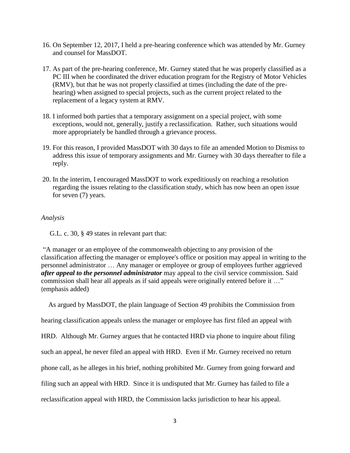- 16. On September 12, 2017, I held a pre-hearing conference which was attended by Mr. Gurney and counsel for MassDOT.
- 17. As part of the pre-hearing conference, Mr. Gurney stated that he was properly classified as a PC III when he coordinated the driver education program for the Registry of Motor Vehicles (RMV), but that he was not properly classified at times (including the date of the prehearing) when assigned to special projects, such as the current project related to the replacement of a legacy system at RMV.
- 18. I informed both parties that a temporary assignment on a special project, with some exceptions, would not, generally, justify a reclassification. Rather, such situations would more appropriately be handled through a grievance process.
- 19. For this reason, I provided MassDOT with 30 days to file an amended Motion to Dismiss to address this issue of temporary assignments and Mr. Gurney with 30 days thereafter to file a reply.
- 20. In the interim, I encouraged MassDOT to work expeditiously on reaching a resolution regarding the issues relating to the classification study, which has now been an open issue for seven (7) years.

## *Analysis*

G.L. c. 30, § 49 states in relevant part that:

"A manager or an employee of the commonwealth objecting to any provision of the classification affecting the manager or employee's office or position may appeal in writing to the personnel administrator … Any manager or employee or group of employees further aggrieved *after appeal to the personnel administrator* may appeal to the civil service commission. Said commission shall hear all appeals as if said appeals were originally entered before it …" (emphasis added)

 As argued by MassDOT, the plain language of Section 49 prohibits the Commission from hearing classification appeals unless the manager or employee has first filed an appeal with HRD. Although Mr. Gurney argues that he contacted HRD via phone to inquire about filing such an appeal, he never filed an appeal with HRD. Even if Mr. Gurney received no return phone call, as he alleges in his brief, nothing prohibited Mr. Gurney from going forward and filing such an appeal with HRD. Since it is undisputed that Mr. Gurney has failed to file a reclassification appeal with HRD, the Commission lacks jurisdiction to hear his appeal.